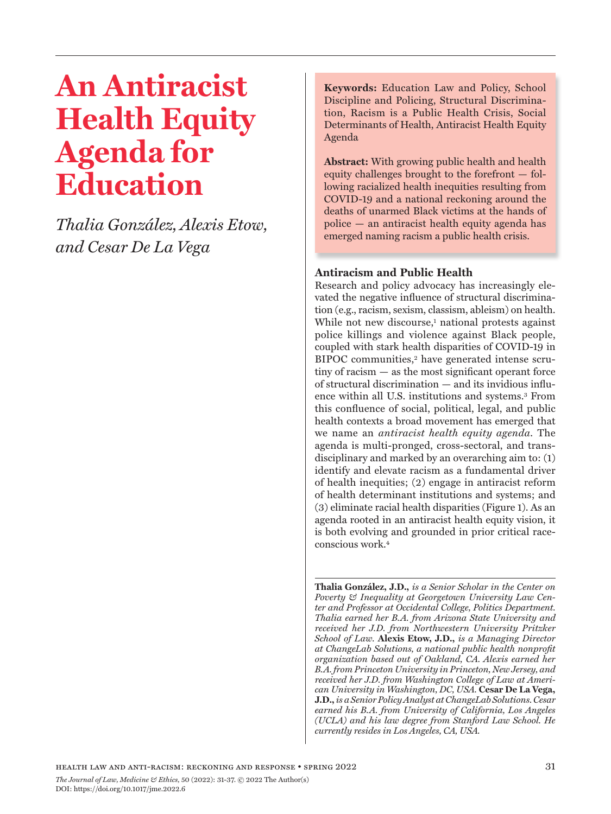# **An Antiracist Health Equity Agenda for Education**

*Thalia González, Alexis Etow, and Cesar De La Vega*

**Keywords:** Education Law and Policy, School Discipline and Policing, Structural Discrimination, Racism is a Public Health Crisis, Social Determinants of Health, Antiracist Health Equity Agenda

**Abstract:** With growing public health and health equity challenges brought to the forefront — following racialized health inequities resulting from COVID-19 and a national reckoning around the deaths of unarmed Black victims at the hands of police — an antiracist health equity agenda has emerged naming racism a public health crisis.

# **Antiracism and Public Health**

Research and policy advocacy has increasingly elevated the negative influence of structural discrimination (e.g., racism, sexism, classism, ableism) on health. While not new discourse,<sup>1</sup> national protests against police killings and violence against Black people, coupled with stark health disparities of COVID-19 in BIPOC communities,<sup>2</sup> have generated intense scrutiny of racism — as the most significant operant force of structural discrimination — and its invidious influence within all U.S. institutions and systems.3 From this confluence of social, political, legal, and public health contexts a broad movement has emerged that we name an *antiracist health equity agenda*. The agenda is multi-pronged, cross-sectoral, and transdisciplinary and marked by an overarching aim to: (1) identify and elevate racism as a fundamental driver of health inequities; (2) engage in antiracist reform of health determinant institutions and systems; and (3) eliminate racial health disparities (Figure 1). As an agenda rooted in an antiracist health equity vision, it is both evolving and grounded in prior critical raceconscious work.4

**Thalia González, J.D.,** *is a Senior Scholar in the Center on Poverty & Inequality at Georgetown University Law Center and Professor at Occidental College, Politics Department. Thalia earned her B.A. from Arizona State University and received her J.D. from Northwestern University Pritzker School of Law.* **Alexis Etow, J.D.,** *is a Managing Director at ChangeLab Solutions, a national public health nonprofit organization based out of Oakland, CA. Alexis earned her B.A. from Princeton University in Princeton, New Jersey, and received her J.D. from Washington College of Law at American University in Washington, DC, USA.* **Cesar De La Vega, J.D.,** *is a Senior Policy Analyst at ChangeLab Solutions. Cesar earned his B.A. from University of California, Los Angeles (UCLA) and his law degree from Stanford Law School. He currently resides in Los Angeles, CA, USA.*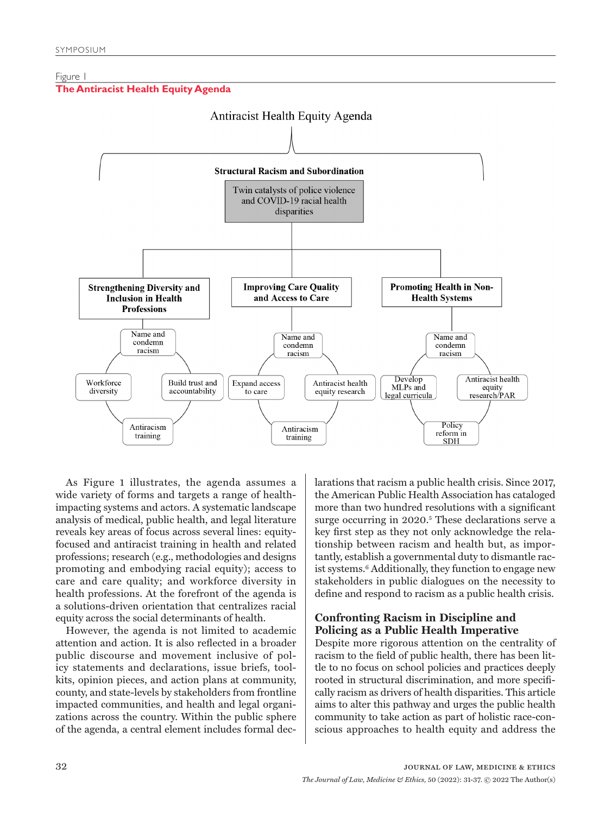## Figure 1





As Figure 1 illustrates, the agenda assumes a wide variety of forms and targets a range of healthimpacting systems and actors. A systematic landscape analysis of medical, public health, and legal literature reveals key areas of focus across several lines: equityfocused and antiracist training in health and related professions; research (e.g., methodologies and designs promoting and embodying racial equity); access to care and care quality; and workforce diversity in health professions. At the forefront of the agenda is a solutions-driven orientation that centralizes racial equity across the social determinants of health.

However, the agenda is not limited to academic attention and action. It is also reflected in a broader public discourse and movement inclusive of policy statements and declarations, issue briefs, toolkits, opinion pieces, and action plans at community, county, and state-levels by stakeholders from frontline impacted communities, and health and legal organizations across the country. Within the public sphere of the agenda, a central element includes formal declarations that racism a public health crisis. Since 2017, the American Public Health Association has cataloged more than two hundred resolutions with a significant surge occurring in 2020.<sup>5</sup> These declarations serve a key first step as they not only acknowledge the relationship between racism and health but, as importantly, establish a governmental duty to dismantle racist systems.6 Additionally, they function to engage new stakeholders in public dialogues on the necessity to define and respond to racism as a public health crisis.

## **Confronting Racism in Discipline and Policing as a Public Health Imperative**

Despite more rigorous attention on the centrality of racism to the field of public health, there has been little to no focus on school policies and practices deeply rooted in structural discrimination, and more specifically racism as drivers of health disparities. This article aims to alter this pathway and urges the public health community to take action as part of holistic race-conscious approaches to health equity and address the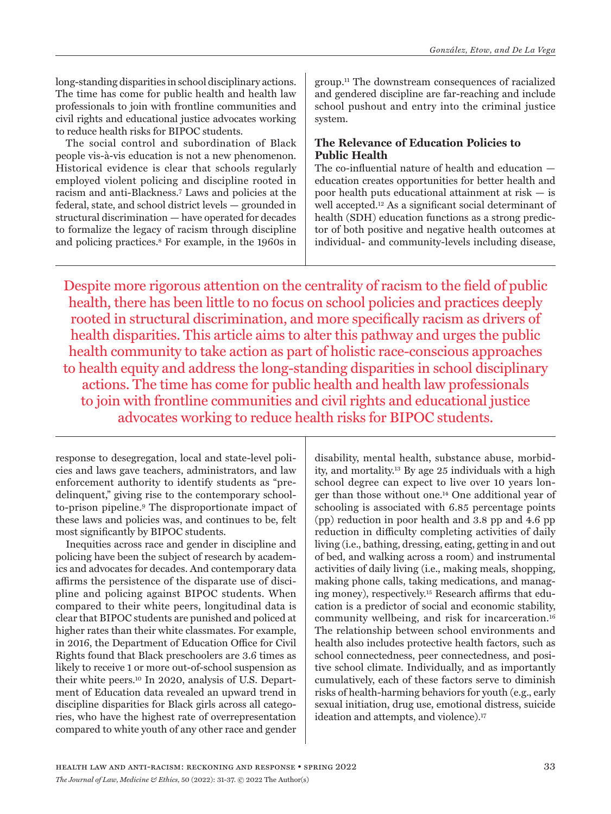long-standing disparities in school disciplinary actions. The time has come for public health and health law professionals to join with frontline communities and civil rights and educational justice advocates working to reduce health risks for BIPOC students.

The social control and subordination of Black people vis-à-vis education is not a new phenomenon. Historical evidence is clear that schools regularly employed violent policing and discipline rooted in racism and anti-Blackness.7 Laws and policies at the federal, state, and school district levels — grounded in structural discrimination — have operated for decades to formalize the legacy of racism through discipline and policing practices.8 For example, in the 1960s in

group.11 The downstream consequences of racialized and gendered discipline are far-reaching and include school pushout and entry into the criminal justice system.

# **The Relevance of Education Policies to Public Health**

The co-influential nature of health and education education creates opportunities for better health and poor health puts educational attainment at risk — is well accepted.12 As a significant social determinant of health (SDH) education functions as a strong predictor of both positive and negative health outcomes at individual- and community-levels including disease,

Despite more rigorous attention on the centrality of racism to the field of public health, there has been little to no focus on school policies and practices deeply rooted in structural discrimination, and more specifically racism as drivers of health disparities. This article aims to alter this pathway and urges the public health community to take action as part of holistic race-conscious approaches to health equity and address the long-standing disparities in school disciplinary actions. The time has come for public health and health law professionals to join with frontline communities and civil rights and educational justice advocates working to reduce health risks for BIPOC students.

response to desegregation, local and state-level policies and laws gave teachers, administrators, and law enforcement authority to identify students as "predelinquent," giving rise to the contemporary schoolto-prison pipeline.9 The disproportionate impact of these laws and policies was, and continues to be, felt most significantly by BIPOC students.

Inequities across race and gender in discipline and policing have been the subject of research by academics and advocates for decades. And contemporary data affirms the persistence of the disparate use of discipline and policing against BIPOC students. When compared to their white peers, longitudinal data is clear that BIPOC students are punished and policed at higher rates than their white classmates. For example, in 2016, the Department of Education Office for Civil Rights found that Black preschoolers are 3.6 times as likely to receive 1 or more out-of-school suspension as their white peers.10 In 2020, analysis of U.S. Department of Education data revealed an upward trend in discipline disparities for Black girls across all categories, who have the highest rate of overrepresentation compared to white youth of any other race and gender

disability, mental health, substance abuse, morbidity, and mortality.13 By age 25 individuals with a high school degree can expect to live over 10 years longer than those without one.14 One additional year of schooling is associated with 6.85 percentage points (pp) reduction in poor health and 3.8 pp and 4.6 pp reduction in difficulty completing activities of daily living (i.e., bathing, dressing, eating, getting in and out of bed, and walking across a room) and instrumental activities of daily living (i.e., making meals, shopping, making phone calls, taking medications, and managing money), respectively.15 Research affirms that education is a predictor of social and economic stability, community wellbeing, and risk for incarceration.16 The relationship between school environments and health also includes protective health factors, such as school connectedness, peer connectedness, and positive school climate. Individually, and as importantly cumulatively, each of these factors serve to diminish risks of health-harming behaviors for youth (e.g., early sexual initiation, drug use, emotional distress, suicide ideation and attempts, and violence).<sup>17</sup>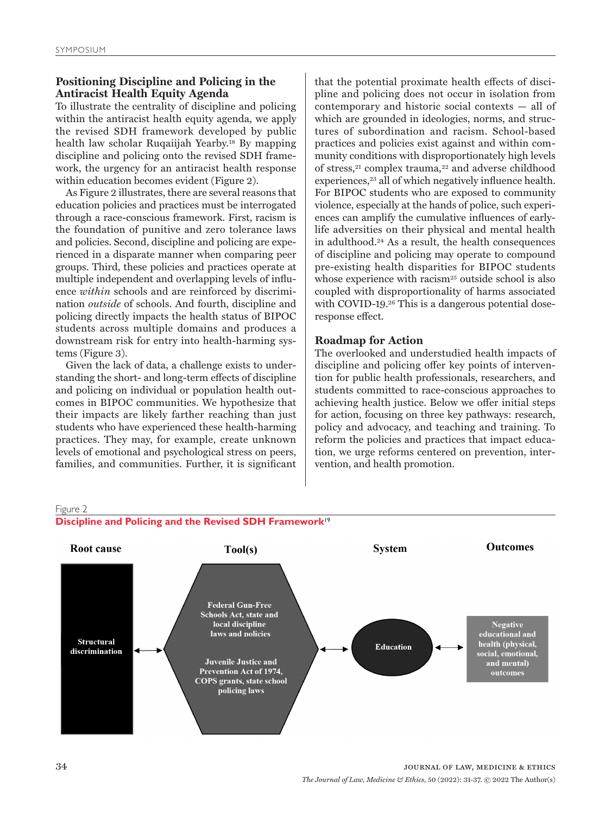# **Positioning Discipline and Policing in the Antiracist Health Equity Agenda**

To illustrate the centrality of discipline and policing within the antiracist health equity agenda, we apply the revised SDH framework developed by public health law scholar Ruqaiijah Yearby.18 By mapping discipline and policing onto the revised SDH framework, the urgency for an antiracist health response within education becomes evident (Figure 2).

As Figure 2 illustrates, there are several reasons that education policies and practices must be interrogated through a race-conscious framework. First, racism is the foundation of punitive and zero tolerance laws and policies. Second, discipline and policing are experienced in a disparate manner when comparing peer groups. Third, these policies and practices operate at multiple independent and overlapping levels of influence *within* schools and are reinforced by discrimination *outside* of schools. And fourth, discipline and policing directly impacts the health status of BIPOC students across multiple domains and produces a downstream risk for entry into health-harming systems (Figure 3).

Given the lack of data, a challenge exists to understanding the short- and long-term effects of discipline and policing on individual or population health outcomes in BIPOC communities. We hypothesize that their impacts are likely farther reaching than just students who have experienced these health-harming practices. They may, for example, create unknown levels of emotional and psychological stress on peers, families, and communities. Further, it is significant

that the potential proximate health effects of discipline and policing does not occur in isolation from contemporary and historic social contexts — all of which are grounded in ideologies, norms, and structures of subordination and racism. School-based practices and policies exist against and within community conditions with disproportionately high levels of stress,<sup>21</sup> complex trauma,<sup>22</sup> and adverse childhood experiences,<sup>23</sup> all of which negatively influence health. For BIPOC students who are exposed to community violence, especially at the hands of police, such experiences can amplify the cumulative influences of earlylife adversities on their physical and mental health in adulthood.24 As a result, the health consequences of discipline and policing may operate to compound pre-existing health disparities for BIPOC students whose experience with racism<sup>25</sup> outside school is also coupled with disproportionality of harms associated with COVID-19.26 This is a dangerous potential doseresponse effect.

## **Roadmap for Action**

The overlooked and understudied health impacts of discipline and policing offer key points of intervention for public health professionals, researchers, and students committed to race-conscious approaches to achieving health justice. Below we offer initial steps for action, focusing on three key pathways: research, policy and advocacy, and teaching and training. To reform the policies and practices that impact education, we urge reforms centered on prevention, intervention, and health promotion.

#### Figure 2

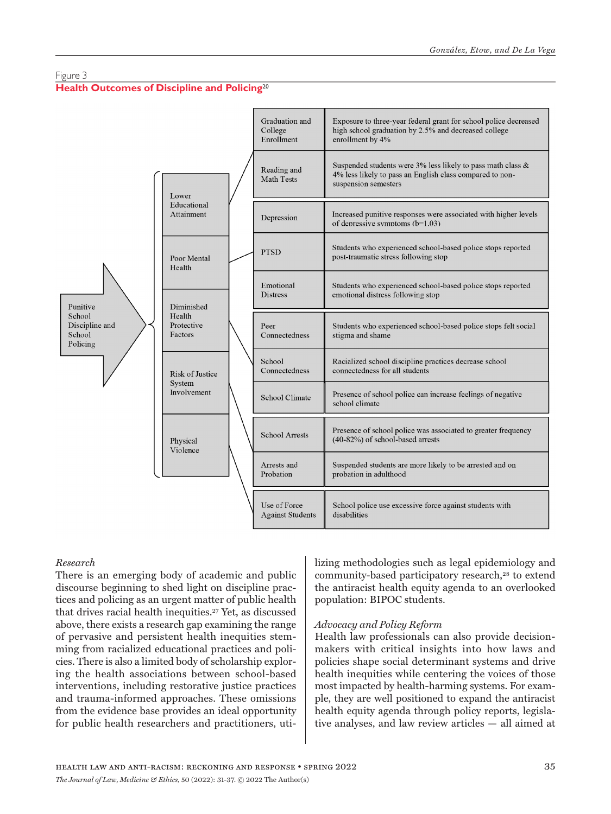## Figure 3

# **Health Outcomes of Discipline and Policing**20



## *Research*

There is an emerging body of academic and public discourse beginning to shed light on discipline practices and policing as an urgent matter of public health that drives racial health inequities.27 Yet, as discussed above, there exists a research gap examining the range of pervasive and persistent health inequities stemming from racialized educational practices and policies. There is also a limited body of scholarship exploring the health associations between school-based interventions, including restorative justice practices and trauma-informed approaches. These omissions from the evidence base provides an ideal opportunity for public health researchers and practitioners, utilizing methodologies such as legal epidemiology and community-based participatory research,<sup>28</sup> to extend the antiracist health equity agenda to an overlooked population: BIPOC students.

## *Advocacy and Policy Reform*

Health law professionals can also provide decisionmakers with critical insights into how laws and policies shape social determinant systems and drive health inequities while centering the voices of those most impacted by health-harming systems. For example, they are well positioned to expand the antiracist health equity agenda through policy reports, legislative analyses, and law review articles — all aimed at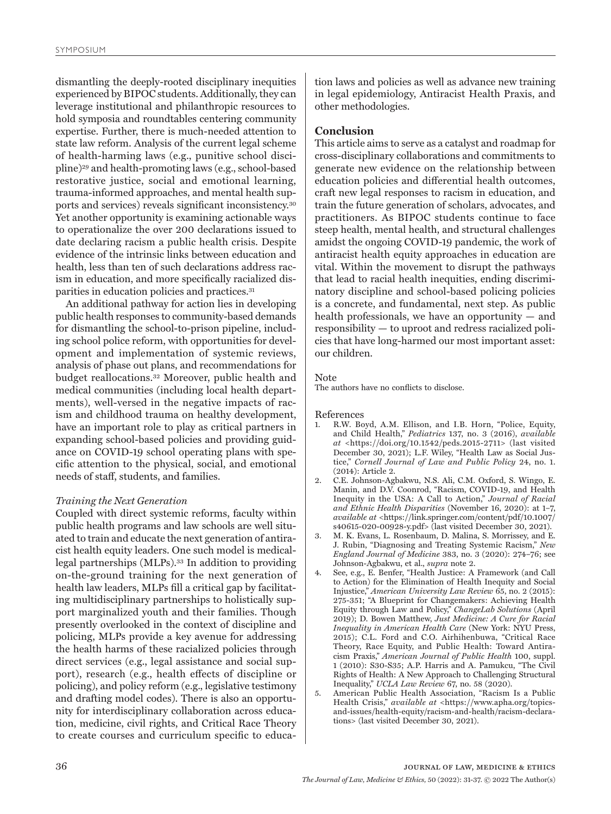dismantling the deeply-rooted disciplinary inequities experienced by BIPOC students. Additionally, they can leverage institutional and philanthropic resources to hold symposia and roundtables centering community expertise. Further, there is much-needed attention to state law reform. Analysis of the current legal scheme of health-harming laws (e.g., punitive school discipline)29 and health-promoting laws (e.g., school-based restorative justice, social and emotional learning, trauma-informed approaches, and mental health supports and services) reveals significant inconsistency.30 Yet another opportunity is examining actionable ways to operationalize the over 200 declarations issued to date declaring racism a public health crisis. Despite evidence of the intrinsic links between education and health, less than ten of such declarations address racism in education, and more specifically racialized disparities in education policies and practices.31

An additional pathway for action lies in developing public health responses to community-based demands for dismantling the school-to-prison pipeline, including school police reform, with opportunities for development and implementation of systemic reviews, analysis of phase out plans, and recommendations for budget reallocations.32 Moreover, public health and medical communities (including local health departments), well-versed in the negative impacts of racism and childhood trauma on healthy development, have an important role to play as critical partners in expanding school-based policies and providing guidance on COVID-19 school operating plans with specific attention to the physical, social, and emotional needs of staff, students, and families.

#### *Training the Next Generation*

Coupled with direct systemic reforms, faculty within public health programs and law schools are well situated to train and educate the next generation of antiracist health equity leaders. One such model is medicallegal partnerships (MLPs).33 In addition to providing on-the-ground training for the next generation of health law leaders, MLPs fill a critical gap by facilitating multidisciplinary partnerships to holistically support marginalized youth and their families. Though presently overlooked in the context of discipline and policing, MLPs provide a key avenue for addressing the health harms of these racialized policies through direct services (e.g., legal assistance and social support), research (e.g., health effects of discipline or policing), and policy reform (e.g., legislative testimony and drafting model codes). There is also an opportunity for interdisciplinary collaboration across education, medicine, civil rights, and Critical Race Theory to create courses and curriculum specific to educa-

tion laws and policies as well as advance new training in legal epidemiology, Antiracist Health Praxis, and other methodologies.

## **Conclusion**

This article aims to serve as a catalyst and roadmap for cross-disciplinary collaborations and commitments to generate new evidence on the relationship between education policies and differential health outcomes, craft new legal responses to racism in education, and train the future generation of scholars, advocates, and practitioners. As BIPOC students continue to face steep health, mental health, and structural challenges amidst the ongoing COVID-19 pandemic, the work of antiracist health equity approaches in education are vital. Within the movement to disrupt the pathways that lead to racial health inequities, ending discriminatory discipline and school-based policing policies is a concrete, and fundamental, next step. As public health professionals, we have an opportunity — and responsibility — to uproot and redress racialized policies that have long-harmed our most important asset: our children.

#### Note

The authors have no conflicts to disclose.

#### References

- 1. R.W. Boyd, A.M. Ellison, and I.B. Horn, "Police, Equity, and Child Health," *Pediatrics* 137, no. 3 (2016), *available at* <https://doi.org/10.1542/peds.2015-2711> (last visited December 30, 2021); L.F. Wiley, "Health Law as Social Justice," *Cornell Journal of Law and Public Policy* 24, no. 1. (2014): Article 2.
- 2. C.E. Johnson-Agbakwu, N.S. Ali, C.M. Oxford, S. Wingo, E. Manin, and D.V. Coonrod, "Racism, COVID-19, and Health Inequity in the USA: A Call to Action," *Journal of Racial and Ethnic Health Disparities* (November 16, 2020): at 1–7, *available at* <https://link.springer.com/content/pdf/10.1007/ s40615-020-00928-y.pdf> (last visited December 30, 2021).
- 3. M. K. Evans, L. Rosenbaum, D. Malina, S. Morrissey, and E. J. Rubin, "Diagnosing and Treating Systemic Racism," *New England Journal of Medicine* 383, no. 3 (2020): 274–76; see Johnson-Agbakwu, et al., *supra* note 2.
- 4. See, e.g., E. Benfer, "Health Justice: A Framework (and Call to Action) for the Elimination of Health Inequity and Social Injustice," *American University Law Review* 65, no. 2 (2015): 275-351; "A Blueprint for Changemakers: Achieving Health Equity through Law and Policy," *ChangeLab Solutions* (April 2019); D. Bowen Matthew, *Just Medicine: A Cure for Racial Inequality in American Health Care* (New York: NYU Press, 2015); C.L. Ford and C.O. Airhihenbuwa, "Critical Race Theory, Race Equity, and Public Health: Toward Antiracism Praxis," *American Journal of Public Health* 100, suppl. 1 (2010): S30-S35; A.P. Harris and A. Pamukcu, "The Civil Rights of Health: A New Approach to Challenging Structural Inequality," *UCLA Law Review* 67, no. 58 (2020).
- 5. American Public Health Association, "Racism Is a Public Health Crisis," *available at* <https://www.apha.org/topicsand-issues/health-equity/racism-and-health/racism-declarations> (last visited December 30, 2021).